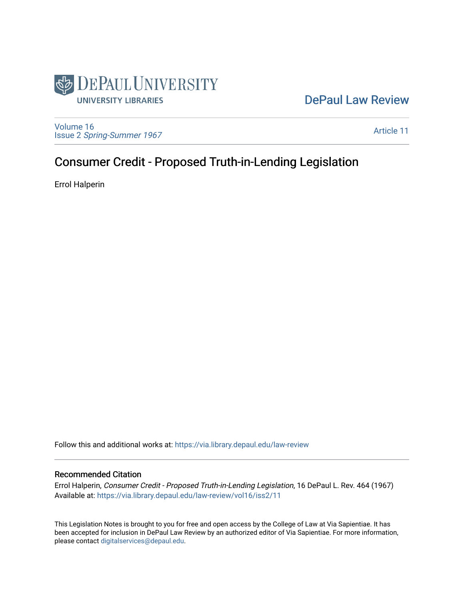

# [DePaul Law Review](https://via.library.depaul.edu/law-review)

[Volume 16](https://via.library.depaul.edu/law-review/vol16) Issue 2 [Spring-Summer 1967](https://via.library.depaul.edu/law-review/vol16/iss2) 

[Article 11](https://via.library.depaul.edu/law-review/vol16/iss2/11) 

# Consumer Credit - Proposed Truth-in-Lending Legislation

Errol Halperin

Follow this and additional works at: [https://via.library.depaul.edu/law-review](https://via.library.depaul.edu/law-review?utm_source=via.library.depaul.edu%2Flaw-review%2Fvol16%2Fiss2%2F11&utm_medium=PDF&utm_campaign=PDFCoverPages) 

# Recommended Citation

Errol Halperin, Consumer Credit - Proposed Truth-in-Lending Legislation, 16 DePaul L. Rev. 464 (1967) Available at: [https://via.library.depaul.edu/law-review/vol16/iss2/11](https://via.library.depaul.edu/law-review/vol16/iss2/11?utm_source=via.library.depaul.edu%2Flaw-review%2Fvol16%2Fiss2%2F11&utm_medium=PDF&utm_campaign=PDFCoverPages)

This Legislation Notes is brought to you for free and open access by the College of Law at Via Sapientiae. It has been accepted for inclusion in DePaul Law Review by an authorized editor of Via Sapientiae. For more information, please contact [digitalservices@depaul.edu.](mailto:digitalservices@depaul.edu)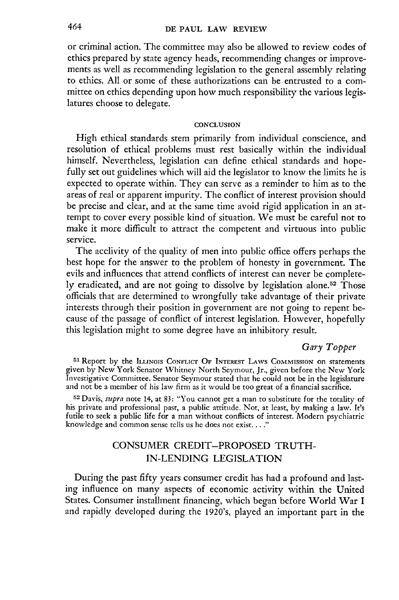### **DE PAUL LAW REVIEW**

or criminal action. The committee may also be allowed to review codes of ethics prepared by state agency heads, recommending changes or improvements as well as recommending legislation to the general assembly relating to ethics. All or some of these authorizations can be entrusted to a committee on ethics depending upon how much responsibility the various legislatures choose to delegate.

#### **CONCLUSION**

High ethical standards stem primarily from individual conscience, and resolution of ethical problems must rest basically within the individual himself. Nevertheless, legislation can define ethical standards and hopefully set out guidelines which will aid the legislator to know the limits he is expected to operate within. They can serve as a reminder to him as to the areas of real or apparent impurity. The conflict of interest provision should be precise and clear, and at the same time avoid rigid application in an attempt to cover every possible kind of situation. We must be careful not to make it more difficult to attract the competent and virtuous into public service.

The acclivity of the quality of men into public office offers perhaps the best hope for the answer to the problem of honesty in government. The evils and influences that attend conflicts of interest can never be completely eradicated, and are not going to dissolve by legislation alone.<sup>52</sup> Those officials that are determined to wrongfully take advantage of their private interests through their position in government are not going to repent because of the passage of conflict of interest legislation. However, hopefully this legislation might to some degree have an inhibitory result.

# *Gary Topper*

**<sup>51</sup>**Report by the ILLINOIS CONFLICT OF **INTEREST** LAWS COMMISSION on statements given by New York Senator Whitney North Seymour, Jr., given before the New York Investigative Committee. Senator Seymour stated that he could not be in the legislature and not be a member of his law firm as it would be too great of a financial sacrifice.

**.52** Davis, *supra* note 14, at 83: "You cannot get a man to substitute for the totality of his private and professional past, a public attitude. Not, at least, by making a law. It's futile to seek a public life for a man without conflicts of interest. Modern psychiatric knowledge and common sense tells us he does not exist...."

# CONSUMER CREDIT-PROPOSED TRUTH-IN-LENDING LEGISLATION

During the past fifty years consumer credit has had a profound and lasting influence on many aspects of economic activity within the United States. Consumer installment financing, which began before World War I and rapidly developed during the 1920's, played an important part in the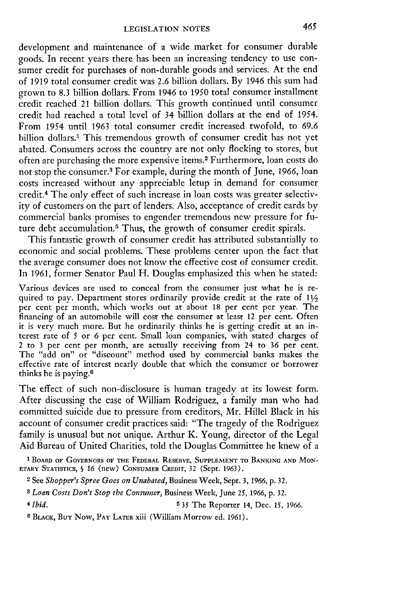development and maintenance of a wide market for consumer durable goods. In recent years there has been an increasing tendency to use consumer credit for purchases of non-durable goods and services. At the end of **1919** total consumer credit was **2.6** billion dollars. **By** 1946 this sum had grown to **8.3** billion dollars. From 1946 to **1950** total consumer installment credit reached 21 billion dollars. This growth continued until consumer credit had reached a total level of 34 billion dollars at the end of 1954. From 1954 until **1963** total consumer credit increased twofold, to 69.6 billion dollars.<sup>1</sup> This tremendous growth of consumer credit has not yet abated. Consumers across the country are not only flocking to stores, but often are purchasing the more expensive items.2 Furthermore, loan costs do not stop the consumer.3 For example, during the month of June, **1966,** loan costs increased without any appreciable letup in demand for consumer credit.4 The only effect of such increase in loan costs was greater selectivity of customers on the part of lenders. Also, acceptance of credit cards by commercial banks promises to engender tremendous new pressure for future debt accumulation.<sup>5</sup> Thus, the growth of consumer credit spirals.

This fantastic growth of consumer credit has attributed substantially to economic and social problems. These problems center upon the fact that the average consumer does not know the effective cost of consumer credit. In **1961,** former Senator Paul H. Douglas emphasized this when he stated:

Various devices are used to conceal from the consumer just what he is required to pay. Department stores ordinarily provide credit at the rate of  $11/2$ per cent per month, which works out at about **18** per cent per year. The financing of an automobile will cost the consumer at least 12 per cent. Often it is very much more. But he ordinarily thinks he is getting credit at an interest rate of 5 or 6 per cent. Small loan companies, with stated charges of 2 to **3** per cent per month, are actually receiving from 24 to **36** per cent. The "add on" or "discount" method used by commercial banks makes the effective rate of interest nearly double that which the consumer or borrower thinks he is paying.6

The effect of such non-disclosure is human tragedy at its lowest form. After discussing the case of William Rodriguez, a family man who had committed suicide due to pressure from creditors, Mr. Hillel Black in his account of consumer credit practices said: "The tragedy of the Rodriguez family is unusual but not unique. Arthur K. Young, director of the Legal Aid Bureau of United Charities, told the Douglas Committee he knew of a

**1** BOARD **OF GOVERNORS OF THE FEDERAL RESERVE, SUPPLEMENT TO BANKING AND MON-**ETARY STATISTICS, § **16** (new) **CONSUMER** CREDIT, 32 (Sept. 1963).

- **2** See *Shopper's Spree Goes on Unabated,* Business Week, Sept. 3, 1966, **p.** 32.
- *8 Loan Costs Don't Stop the Consumer,* Business Week, June 25, **1966,** p. 32.

<sup>4</sup> *Ibid.* **5** *35* The Reporter 14, Dec. *15,* **1966.**

**<sup>6</sup>** BLACK, Buy Now, **PAY** LATER xiii (William Morrow ed. **1961).**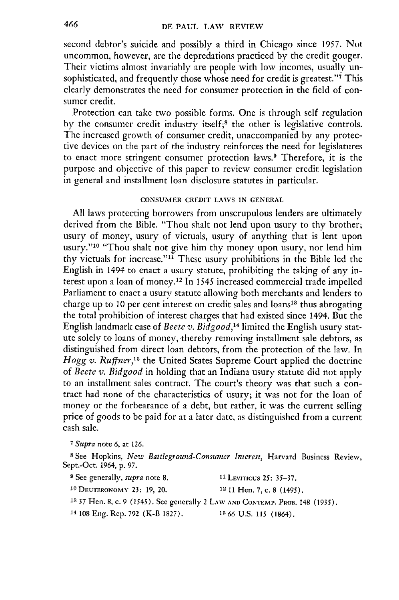second debtor's suicide and possibly a third in Chicago since 1957. Not uncommon, however, are the depredations practiced by the credit gouger. Their victims almost invariably are people with low incomes, usually un-. sophisticated, and frequently those whose need for credit is greatest."<sup>7</sup> This clearly demonstrates the need for consumer protection in the field of consumer credit.

Protection can take two possible forms. One is through self regulation by the consumer credit industry itself;<sup>8</sup> the other is legislative controls. The increased growth of consumer credit, unaccompanied by any protective devices on the part of the industry reinforces the need for legislatures to enact more stringent consumer protection laws.9 Therefore, it is the purpose and objective of this paper to review consumer credit legislation in general and installment loan disclosure statutes in particular.

# **CONSUMER CREDIT LAWS IN GENERAL**

**All** laws protecting borrowers from unscrupulous lenders are ultimately derived from the Bible. "Thou shalt not lend upon usury to thy brother; usury of money, usury of victuals, usury of anything that is lent upon usury."<sup>10</sup> "Thou shalt not give him thy money upon usury, nor lend him thy victuals for increase."<sup>11</sup> These usury prohibitions in the Bible led the English in 1494 to enact a usury statute, prohibiting the taking of any interest upon a loan of money. 12 In *1545* increased commercial trade impelled Parliament to enact a usury statute allowing both merchants and lenders to charge up to 10 per cent interest on credit sales and loans<sup>13</sup> thus abrogating the total prohibition of interest charges that had existed since 1494. But the English landmark case of *Beete* v. *Bidgood,14* limited the English usury statute solely to loans of money, thereby removing installment sale debtors, as distinguished from direct loan debtors, from the protection of the law. In *Hogg v. Ruffner*,<sup>15</sup> the United States Supreme Court applied the doctrine of *Beete v. Bidgood* in holding that an Indiana usury statute did not apply to an installment sales contract. The court's theory was that such a contract had none of the characteristics of usury; it was not for the loan of money or the forbearance of a debt, but rather, it was the current selling price of goods to **be** paid for at a later date, as distinguished from a current cash sale.

*7 Supra* note 6, at 126.

**8** See Hopkins, *New Battleground-Consumer Interest,* Harvard Business Review, Sept.-Oct. 1964, p. 97.

| <sup>9</sup> See generally, <i>supra</i> note 8.                            | <sup>11</sup> Leviricus 25: 35–37. |
|-----------------------------------------------------------------------------|------------------------------------|
| <sup>10</sup> DEUTERONOMY 23: 19, 20.                                       | $12$ 11 Hen. 7, c. 8 (1495).       |
| 13 37 Hen. 8, c. 9 (1545). See generally 2 LAW AND CONTEMP. PROB. 148 (1935 |                                    |
| <sup>14</sup> 108 Eng. Rep. 792 (K-B 1827).                                 | $1566$ U.S. 115 (1864).            |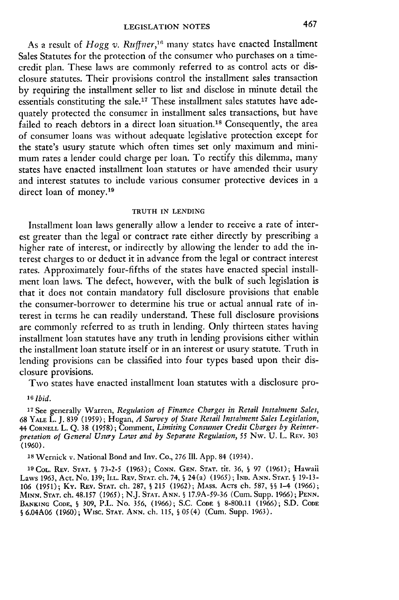As a result of *Hogg v. Ruffter,"'* many states have enacted Installment Sales Statutes for the protection of the consumer who purchases on a timecredit plan. These laws are commonly referred to as control acts or disclosure statutes. Their provisions control the installment sales transaction by requiring the installment seller to list and disclose in minute detail the essentials constituting the sale.17 These installment sales statutes have adequately protected the consumer in installment sales transactions, but have failed to reach debtors in a direct loan situation.<sup>18</sup> Consequently, the area of consumer loans was without adequate legislative protection except for the state's usury statute which often times set only maximum and minimum rates a lender could charge per loan. To rectify this dilemma, many states have enacted installment loan statutes or have amended their usury and interest statutes to include various consumer protective devices in a direct loan of money.<sup>19</sup>

# TRUTH IN **LENDING**

Installment loan laws generally allow a lender to receive a rate of interest greater than the legal or contract rate either directly by prescribing a higher rate of interest, or indirectly by allowing the lender to add the interest charges to or deduct it in advance from the legal or contract interest rates. Approximately four-fifths of the states have enacted special installment loan laws. The defect, however, with the bulk of such legislation is that it does not contain mandatory full disclosure provisions that enable the consumer-borrower to determine his true or actual annual rate of interest in terms he can readily understand. These full disclosure provisions are commonly referred to as truth in lending. Only thirteen states having installment loan statutes have any truth in lending provisions either within the installment loan statute itself or in an interest or usury statute. Truth in lending provisions can be classified into four types based upon their disclosure provisions.

Two states have enacted installment loan statutes with a disclosure pro-

**<sup>17</sup>**See generally Warren, *Regulation of Finance Charges in Retail Instalment Sales,* 68 YALE L. J. 839 (1959); Hogan, *A Survey of State Retail Instalment Sales Legislation,* 44 **CORNELL** L. Q. 38 (1958); Comment, *Limiting Consumer Credit Charges by Reinterpretation of General Usury Laws and by Separate Regulation, 55* Nw. U. L. REv. 303 (1960).

18 Wernick v. National Bond and Inv. Co., 276 Ill. App. 84 (1934).

1 <sup>9</sup> CoL. REV. **STAT.** § 73-2-5 (1963); CONN. GEN. **STAT.** tit. 36, **§** 97 (1961); Hawaii Laws 1963, Act. No. 139; ILL. REV. **STAT.** ch. 74, § 24(a) (1965); **IND. ANN. STAT.** § 19-13- 106 (1951); **Ky.** REv. **STAT.** ch. 287, **S** 215 (1962); MAss. ACTS ch. 587, **§§** 1-4 (1966); MINN. STAT. ch. 48.157 (1965); N.J. **STAT.** ANN. **§** 17.9A-59-36 (Cum. Supp. 1966); **PENN. BANKING CODE,** § 309, P.L. No. 356, (1966); S.C. **CODE §** 8-800.11 (1966); S.D. **CODE §** 6.04A06 (1960); WIsC. **STAT. ANN.** ch. 115, § 05(4) (Cum. Supp. 1963).

*<sup>16</sup> Ibid.*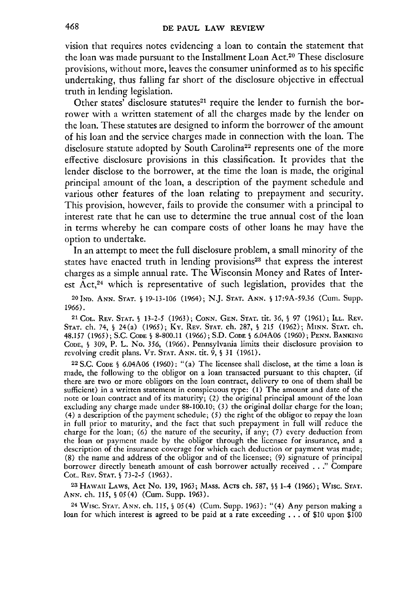vision that requires notes evidencing a loan to contain the statement that the loan was made pursuant to the Installment Loan Act.20 These disclosure provisions, without more, leaves the consumer uninformed as to his specific undertaking, thus falling far short of the disclosure objective in effectual truth in lending legislation.

Other states' disclosure statutes<sup>21</sup> require the lender to furnish the borrower with a written statement of all the charges made by the lender on the loan. These statutes are designed to inform the borrower of the amount of his loan and the service charges made in connection with the loan. The disclosure statute adopted by South Carolina<sup>22</sup> represents one of the more effective disclosure provisions in this classification. It provides that the lender disclose to the borrower, at the time the loan is made, the original principal amount of the loan, a description of the payment schedule and various other features of the loan relating to prepayment and security. This provision, however, fails to provide the consumer with a principal to interest rate that he can use to determine the true annual cost of the loan in terms whereby he can compare costs of other loans he may have the option to undertake.

In an attempt to meet the full disclosure problem, a small minority of the states have enacted truth in lending provisions<sup>23</sup> that express the interest charges as a simple annual rate. The Wisconsin Money and Rates of Interest Act,<sup>24</sup> which is representative of such legislation, provides that the

20IND. **ANN. STAT.** 19-13-106 (1964); N.J. **STAT. ANN. §** 17:9A-59.36 (Cur. Supp. 1966).

<sup>2</sup> <sup>1</sup>**COL.** REV. **STAT.** 9 13-2-5 (1963); CONN. GEN. **STAT.** tit. 36, **§** 97 (1961); ILL. REV. STAT. ch. 74, **§** 24(a) (1965); Ky. REV. **STAT.** ch. 287, **§** *215* (1962); **MINN. STAT.** ch. 48.157 (1965); S.C. CODE **§** 8-800.11 (1966); S.D. CODE § 6.04A06 (1960); PENN. BANKING CODE, **§** 309, P. L. No. 356, (1966). Pennsylvania limits their disclosure provision to revolving credit plans. VT. **STAT.** ANN. tit. 9, § 31 (1961).

22 S.C. CODE **§** 6.04A06 (1960): "(a) The licensee shall disclose, at the time a loan is made, the following to the obligor on a loan transacted pursuant to this chapter, (if there are two or more obligors on the loan contract, delivery to one of them shall be sufficient) in a written statement in conspicuous type: **(1)** The amount and date of the note or loan contract and of its maturity; (2) the original principal amount of the loan excluding any charge made under 88-100.10; (3) the original dollar charge for the loan; (4) a description of the payment schedule; (5) the right of the obligor to repay the loan in full prior to maturity, and the fact that such prepayment in full will reduce the charge for the loan; (6) the nature of the security, if any; (7) every deduction from the loan or payment made by the obligor through the licensee for insurance, and a description of the insurance coverage for which each deduction or payment was made; (8) the name and address of the obligor and of the licensee; (9) signature of principal borrower directly beneath amount of cash borrower actually received . . ." Compare COL. REV. STAT. **§** 73-2-5 (1963).

**<sup>23</sup>**HAWAII LAWS, Act No. 139, 1963; MAss. AcTs ch. 587, **§§** 1-4 (1966); Wise. **STAT.** ANN. ch. 115, **§** 05(4) (Cum. Supp. 1963).

**<sup>24</sup>**WIsC. STAT. **ANN.** ch. 115, *§ 05(4)* (Cum. Supp. 1963): "(4) Any person making a loan for which interest is agreed to be paid at a rate exceeding **...** of \$10 upon \$100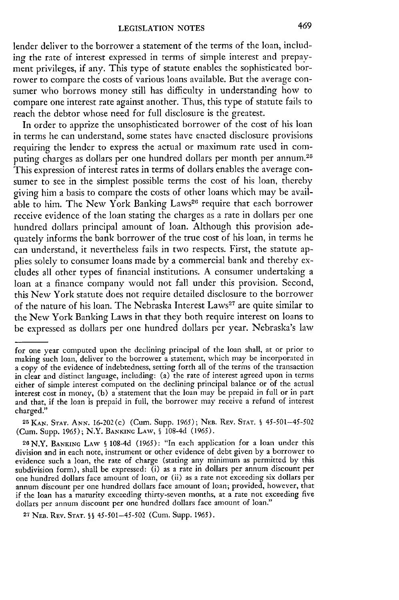lender deliver to the borrower a statement of the terms of the loan, including the rate of interest expressed in terms of simple interest and prepayment privileges, if any. This type of statute enables the sophisticated borrower to compare the costs of various loans available. But the average consumer who borrows money still has difficulty in understanding how to compare one interest rate against another. Thus, this type of statute fails to reach the debtor whose need for full disclosure is the greatest.

In order to apprize the unsophisticated borrower of the cost of his loan in terms he can understand, some states have enacted disclosure provisions requiring the lender to express the actual or maximum rate used in computing charges as dollars per one hundred dollars per month per annum.<sup>25</sup> This expression of interest rates in terms of dollars enables the average consumer to see in the simplest possible terms the cost of his loan, thereby giving him a basis to compare the costs of other loans which may be available to him. The New York Banking Laws<sup>26</sup> require that each borrower receive evidence of the loan stating the charges as a rate in dollars per one hundred dollars principal amount of loan. Although this provision adequately informs the bank borrower of the true cost of his loan, in terms he can understand, it nevertheless fails in two respects. First, the statute applies solely to consumer loans made by a commercial bank and thereby excludes all other types of financial institutions. A consumer undertaking a loan at a finance company would not fall under this provision. Second, this New York statute does not require detailed disclosure to the borrower of the nature of his loan. The Nebraska Interest Laws<sup>27</sup> are quite similar to the New York Banking Laws in that they both require interest on loans to be expressed as dollars per one hundred dollars per year. Nebraska's law

2 7 **NEB.** REV. **STAT.** §§ *45-501-45-502* (Cum. Supp. 1965).

for one year computed upon the declining principal of the loan shall, at or prior to making such loan, deliver to the borrower a statement, which may be incorporated in a copy of the evidence of indebtedness, setting forth all of the terms of the transaction in clear and distinct language, including: (a) the rate of interest agreed upon in terms either of simple interest computed on the declining principal balance or of the actual interest cost in money, (b) a statement that the loan may be prepaid in full or in part and that, if the loan is prepaid in full, the borrower may receive a refund of interest charged."

**<sup>25</sup>**KAN. STAT. ANN. 16-202 (c) (Cum. Supp. 1965); **NEB.** REV. **STAT. §** 45-501-45-502 (Cum. Supp. 1965); N.Y. BANKINC LAW, **§** 108-4d (1965).

<sup>26</sup> N.Y. BANKINc LAW § 108-4d (1965): "In each application for a loan under this division and in each note, instrument or other evidence of debt given by a borrower to evidence such a loan, the rate of charge (stating any minimum as permitted by this subdivision form), shall be expressed: (i) as a rate in dollars per annum discount per one hundred dollars face amount of loan, or (ii) as a rate not exceeding six dollars per annum discount per one hundred dollars face amount of loan; provided, however, that if the loan has a maturity exceeding thirty-seven months, at a rate not exceeding five dollars per annum discount per one hundred dollars face amount of loan."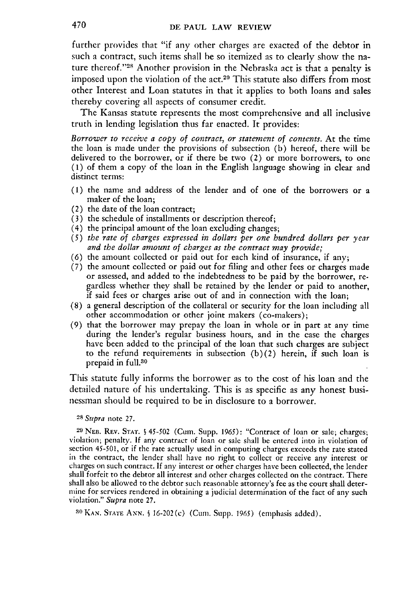further provides that "if any other charges are exacted of the debtor in such a contract, such items shall he so itemized as to clearly show the nature thereof."<sup>28</sup> Another provision in the Nebraska act is that a penalty is imposed upon the violation of the act.<sup>29</sup> This statute also differs from most other Interest and Loan statutes in that it applies to both loans and sales thereby covering all aspects of consumer credit.

The Kansas statute represents the most comprehensive and all inclusive truth in lending legislation thus far enacted. It provides:

*Borrower to receive a copy of contract, or statement of contents.* At the time the loan is made under the provisions of subsection (b) hereof, there will be delivered to the borrower, or if there be two (2) or more borrowers, to one (1) of them a copy of the loan in the English language showing in clear and distinct terms:

- **(1)** the name and address of the lender and of one of the borrowers or a maker of the loan;
- (2) the date of the loan contract;
- (3) the schedule of installments or description thereof;
- (4) the principal amount of the loan excluding changes;
- *(5) the rate of charges expressed in dollars per one hundred dollars per year and the dollar amount of charges as the contract may provide;*
- (6) the amount collected or paid out for each kind of insurance, if any;
- (7) the amount collected or paid out for filing and other fees or charges made or assessed, and added to the indebtedness to be paid by the borrower, regardless whether they shall be retained by the lender or paid to another, if said fees or charges arise out of and in connection with the loan;
- (8) a general description of the collateral or security for the loan including all other accommodation or other joint makers (co-makers);
- (9) that the borrower may prepay the loan in whole or in part at any time during the lender's regular business hours, and in the case the charges have been added to the principal of the loan that such charges are subject to the refund requirements in subsection  $(b)(2)$  herein, if such loan is prepaid in full.30

This statute fully informs the borrower as to the cost of his loan and the detailed nature of his undertaking. This is as specific as any honest businessman should be required to be in disclosure to a borrower.

*28Supra* note 27.

**<sup>29</sup>**NEB. REv. **STAT. §** 45-502 (Curn. Supp. 1965): "Contract of loan or sale; charges; violation; penalty. **If** any contract of loan or sale shall be entered into in violation of section 45-501, or if the rate actually used in computing charges exceeds the rate stated in the contract, the lender shall have no right to collect or receive any interest or charges on such contract. If any interest or other charges have been collected, the lender shall forfeit to the debtor all interest and other charges collected on the contract. There shall also be allowed to the debtor such reasonable attorney's fee as the court shall determine for services rendered in obtaining a judicial determination of the fact of any such violation." *Supra* note 27.

**'0KAN. STATE A,,N. §** 16-202(c) (Cur. Supp. 1965) (emphasis added).